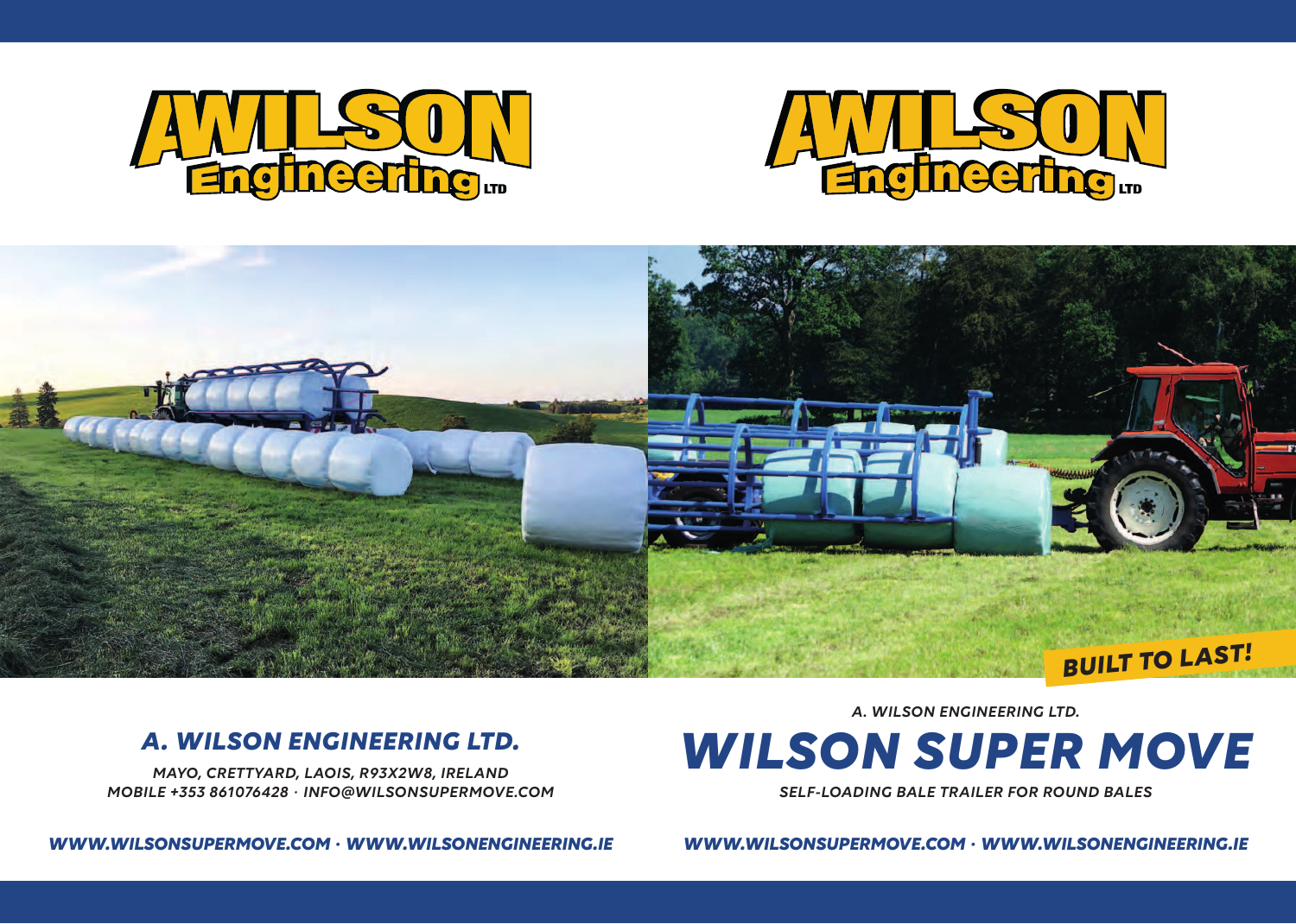



# *BUILT TO LAST!*

### *A. WILSON ENGINEERING LTD.*

*MAYO, CRETTYARD, LAOIS, R93X2W8, IRELAND MOBILE +353 861076428 · INFO@WILSONSUPERMOVE.COM*

*WWW.WILSONSUPERMOVE.COM · WWW.WILSONENGINEERING.IE*

*A. WILSON ENGINEERING LTD.*

# *WILSON SUPER MOVE*

*SELF-LOADING BALE TRAILER FOR ROUND BALES*

*WWW.WILSONSUPERMOVE.COM · WWW.WILSONENGINEERING.IE*